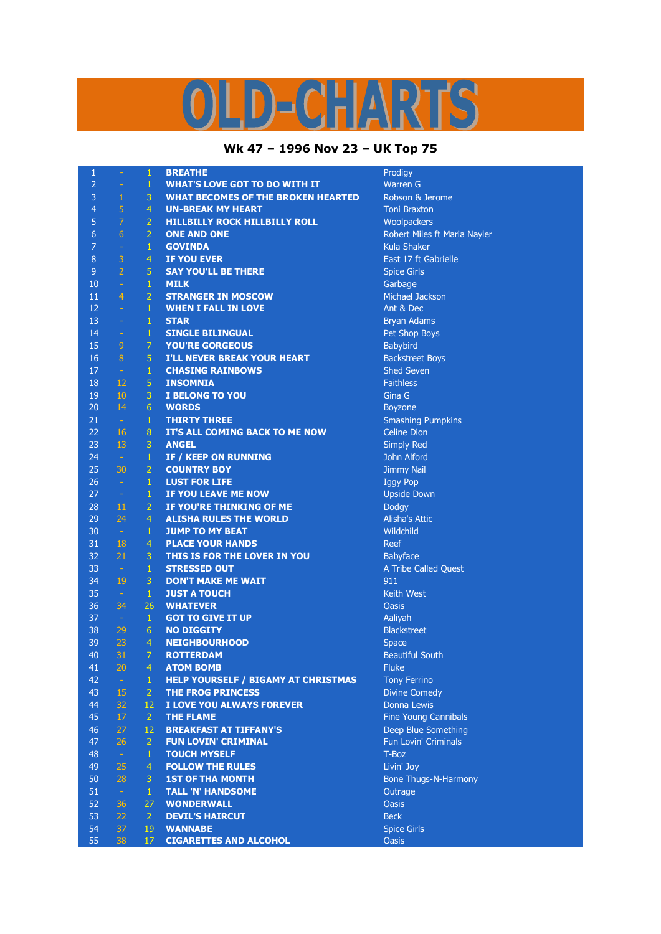## ARTS Ч  $D=0$

## **Wk 47 – 1996 Nov 23 – UK Top 75**

| $\mathbf{1}$   |                 | $\mathbf{1}$    | <b>BREATHE</b>                             | Prodigy                          |
|----------------|-----------------|-----------------|--------------------------------------------|----------------------------------|
| $\overline{2}$ | $\equiv$        | $\mathbf{1}$    | <b>WHAT'S LOVE GOT TO DO WITH IT</b>       | <b>Warren G</b>                  |
| 3              | 1               | 3               | <b>WHAT BECOMES OF THE BROKEN HEARTED</b>  | Robson & Jerome                  |
| $\overline{4}$ | $\overline{5}$  | $\overline{4}$  | <b>UN-BREAK MY HEART</b>                   | <b>Toni Braxton</b>              |
| 5              | $\overline{7}$  | $\overline{2}$  | <b>HILLBILLY ROCK HILLBILLY ROLL</b>       | Woolpackers                      |
| 6              | $6\overline{6}$ | $\overline{2}$  | <b>ONE AND ONE</b>                         | Robert Miles ft Maria Nayler     |
| 7              | $\omega$        | $\mathbf{1}$    | <b>GOVINDA</b>                             | <b>Kula Shaker</b>               |
| 8              | $\overline{3}$  | $\overline{4}$  | <b>IF YOU EVER</b>                         | East 17 ft Gabrielle             |
| 9              | $\overline{2}$  | 5               | <b>SAY YOU'LL BE THERE</b>                 | <b>Spice Girls</b>               |
| 10             | $\omega$        | $\mathbf{1}$    | <b>MILK</b>                                | Garbage                          |
| 11             | $\overline{4}$  | $\overline{2}$  | <b>STRANGER IN MOSCOW</b>                  | <b>Michael Jackson</b>           |
| 12             | $\equiv$        | $\mathbf{1}$    | <b>WHEN I FALL IN LOVE</b>                 | Ant & Dec                        |
| 13             | $\rightarrow$   | $\mathbf{1}$    | <b>STAR</b>                                | <b>Bryan Adams</b>               |
| 14             | $\omega$        | $\,1\,$         | <b>SINGLE BILINGUAL</b>                    | Pet Shop Boys                    |
| 15             | $\overline{9}$  | $\overline{7}$  | <b>YOU'RE GORGEOUS</b>                     | Babybird                         |
| 16             | 8               | 5               | <b>I'LL NEVER BREAK YOUR HEART</b>         | <b>Backstreet Boys</b>           |
| 17             | $\sim$          | $\mathbf{1}$    | <b>CHASING RAINBOWS</b>                    | <b>Shed Seven</b>                |
| 18             | 12              | 5               | <b>INSOMNIA</b>                            | <b>Faithless</b>                 |
| 19             | 10              | 3               | <b>I BELONG TO YOU</b>                     | Gina G                           |
| 20             | 14              | 6               | <b>WORDS</b>                               | Boyzone                          |
| 21             | $\sim$          | $\mathbf{1}$    | <b>THIRTY THREE</b>                        | <b>Smashing Pumpkins</b>         |
| 22             | 16              | 8               | IT'S ALL COMING BACK TO ME NOW             | <b>Celine Dion</b>               |
| 23             | 13              | 3               | <b>ANGEL</b>                               |                                  |
| 24             | $\sim$ $-$      | $\mathbf{1}$    |                                            | <b>Simply Red</b><br>John Alford |
| 25             | 30              | $\overline{2}$  | IF / KEEP ON RUNNING                       |                                  |
|                |                 |                 | <b>COUNTRY BOY</b>                         | <b>Jimmy Nail</b>                |
| 26             | $\sim$          | $\mathbf{1}$    | <b>LUST FOR LIFE</b>                       | <b>Iggy Pop</b>                  |
| 27             | $\sim$          | $\mathbf{1}$    | IF YOU LEAVE ME NOW                        | <b>Upside Down</b>               |
| 28             | 11              | $\overline{2}$  | IF YOU'RE THINKING OF ME                   | Dodgy                            |
| 29             | 24              | $\overline{4}$  | <b>ALISHA RULES THE WORLD</b>              | <b>Alisha's Attic</b>            |
| 30             | $\sim$          | $\mathbf{1}$    | <b>JUMP TO MY BEAT</b>                     | Wildchild                        |
| 31             | 18              | $\overline{4}$  | <b>PLACE YOUR HANDS</b>                    | <b>Reef</b>                      |
| 32             | 21              | 3               | THIS IS FOR THE LOVER IN YOU               | Babyface                         |
| 33             | $\sim$          | $\mathbf{1}$    | <b>STRESSED OUT</b>                        | A Tribe Called Quest             |
| 34             | 19              | 3               | <b>DON'T MAKE ME WAIT</b>                  | 911                              |
| 35             | $\sim$          | $\mathbf{1}$    | <b>JUST A TOUCH</b>                        | <b>Keith West</b>                |
| 36             | 34              | 26              | <b>WHATEVER</b>                            | <b>Oasis</b>                     |
| 37             | $\sim$          | $\mathbf{1}$    | <b>GOT TO GIVE IT UP</b>                   | Aaliyah                          |
| 38             | 29              | $6\phantom{1}6$ | <b>NO DIGGITY</b>                          | <b>Blackstreet</b>               |
| 39             | 23              | 4               | <b>NEIGHBOURHOOD</b>                       | <b>Space</b>                     |
| 40             | 31              | $\overline{7}$  | <b>ROTTERDAM</b>                           | <b>Beautiful South</b>           |
| 41             | 20              | 4               | <b>ATOM BOMB</b>                           | <b>Fluke</b>                     |
| 42             | $\equiv$        | 1               | <b>HELP YOURSELF / BIGAMY AT CHRISTMAS</b> | <b>Tony Ferrino</b>              |
| 43             | 15              | $\overline{2}$  | <b>THE FROG PRINCESS</b>                   | <b>Divine Comedy</b>             |
| 44             | 32              | 12              | I LOVE YOU ALWAYS FOREVER                  | <b>Donna Lewis</b>               |
| 45             | 17              | $\overline{2}$  | <b>THE FLAME</b>                           | Fine Young Cannibals             |
| 46             | 27              | 12              | <b>BREAKFAST AT TIFFANY'S</b>              | Deep Blue Something              |
| 47             | 26              | $\overline{2}$  | <b>FUN LOVIN' CRIMINAL</b>                 | <b>Fun Lovin' Criminals</b>      |
| 48             | $\omega$        | $\mathbf{1}$    | <b>TOUCH MYSELF</b>                        | T-Boz                            |
| 49             | 25              | $\overline{4}$  | <b>FOLLOW THE RULES</b>                    | Livin' Joy                       |
| 50             | 28              | 3               | <b>1ST OF THA MONTH</b>                    | Bone Thugs-N-Harmony             |
| 51             | $\omega$        | $\mathbf{1}$    | <b>TALL 'N' HANDSOME</b>                   | Outrage                          |
| 52             | 36              | 27              | <b>WONDERWALL</b>                          | <b>Oasis</b>                     |
| 53             | 22              | $\overline{2}$  | <b>DEVIL'S HAIRCUT</b>                     | <b>Beck</b>                      |
| 54             | 37              | 19              | <b>WANNABE</b>                             | <b>Spice Girls</b>               |
| 55             | 38              | 17              | <b>CIGARETTES AND ALCOHOL</b>              | <b>Oasis</b>                     |